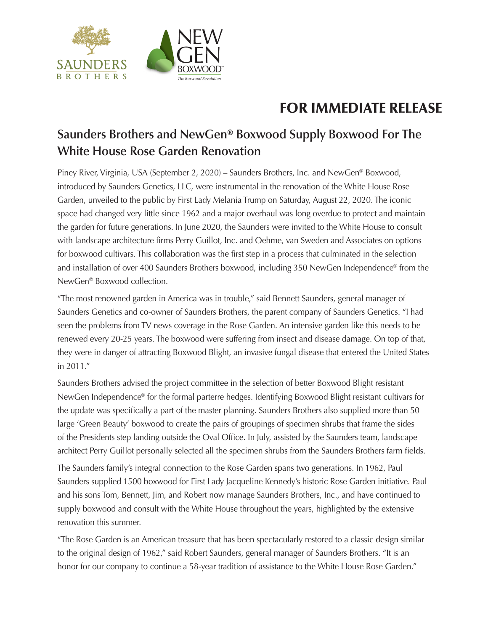

**SAUNDERS BROTHERS** 

## FOR IMMEDIATE RELEASE

## **Saunders Brothers and NewGen® Boxwood Supply Boxwood For The White House Rose Garden Renovation**

Piney River, Virginia, USA (September 2, 2020) – Saunders Brothers, Inc. and NewGen® Boxwood, introduced by Saunders Genetics, LLC, were instrumental in the renovation of the White House Rose Garden, unveiled to the public by First Lady Melania Trump on Saturday, August 22, 2020. The iconic space had changed very little since 1962 and a major overhaul was long overdue to protect and maintain the garden for future generations. In June 2020, the Saunders were invited to the White House to consult with landscape architecture firms Perry Guillot, Inc. and Oehme, van Sweden and Associates on options for boxwood cultivars. This collaboration was the first step in a process that culminated in the selection and installation of over 400 Saunders Brothers boxwood, including 350 NewGen Independence® from the NewGen® Boxwood collection.

"The most renowned garden in America was in trouble," said Bennett Saunders, general manager of Saunders Genetics and co-owner of Saunders Brothers, the parent company of Saunders Genetics. "I had seen the problems from TV news coverage in the Rose Garden. An intensive garden like this needs to be renewed every 20-25 years. The boxwood were suffering from insect and disease damage. On top of that, they were in danger of attracting Boxwood Blight, an invasive fungal disease that entered the United States in 2011."

Saunders Brothers advised the project committee in the selection of better Boxwood Blight resistant NewGen Independence® for the formal parterre hedges. Identifying Boxwood Blight resistant cultivars for the update was specifically a part of the master planning. Saunders Brothers also supplied more than 50 large 'Green Beauty' boxwood to create the pairs of groupings of specimen shrubs that frame the sides of the Presidents step landing outside the Oval Office. In July, assisted by the Saunders team, landscape architect Perry Guillot personally selected all the specimen shrubs from the Saunders Brothers farm fields.

The Saunders family's integral connection to the Rose Garden spans two generations. In 1962, Paul Saunders supplied 1500 boxwood for First Lady Jacqueline Kennedy's historic Rose Garden initiative. Paul and his sons Tom, Bennett, Jim, and Robert now manage Saunders Brothers, Inc., and have continued to supply boxwood and consult with the White House throughout the years, highlighted by the extensive renovation this summer.

"The Rose Garden is an American treasure that has been spectacularly restored to a classic design similar to the original design of 1962," said Robert Saunders, general manager of Saunders Brothers. "It is an honor for our company to continue a 58-year tradition of assistance to the White House Rose Garden."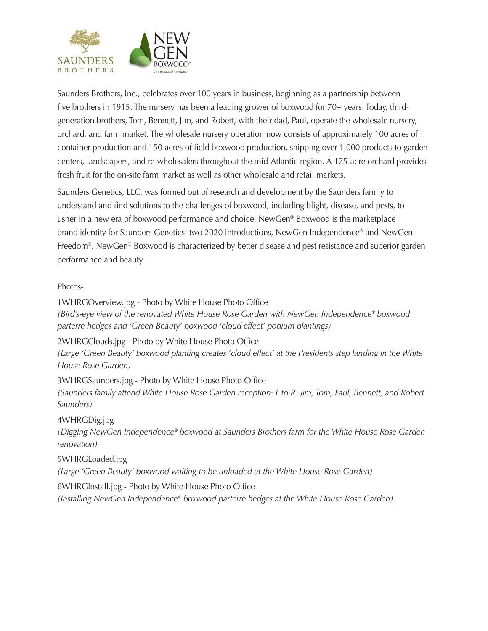

Saunders Brothers, Inc., celebrates over 100 years in business, beginning as a partnership between five brothers in 1915. The nursery has been a leading grower of boxwood for 70+ years. Today, thirdgeneration brothers, Tom, Bennett, Jim, and Robert, with their dad, Paul, operate the wholesale nursery, orchard, and farm market. The wholesale nursery operation now consists of approximately 100 acres of container production and 150 acres of field boxwood production, shipping over 1,000 products to garden centers, landscapers, and re-wholesalers throughout the mid-Atlantic region. A 175-acre orchard provides fresh fruit for the on-site farm market as well as other wholesale and retail markets.

Saunders Genetics, LLC, was formed out of research and development by the Saunders family to understand and find solutions to the challenges of boxwood, including blight, disease, and pests, to usher in a new era of boxwood performance and choice. NewGen® Boxwood is the marketplace brand identity for Saunders Genetics' two 2020 introductions, NewGen Independence® and NewGen Freedom®. NewGen® Boxwood is characterized by better disease and pest resistance and superior garden performance and beauty.

## Photos-

1WHRGOverview.jpg - Photo by White House Photo Office *(Bird's-eye view of the renovated White House Rose Garden with NewGen Independence® boxwood parterre hedges and 'Green Beauty' boxwood 'cloud effect' podium plantings)*

2WHRGClouds.jpg - Photo by White House Photo Office *(Large 'Green Beauty' boxwood planting creates 'cloud effect' at the Presidents step landing in the White* 

*House Rose Garden)*

3WHRGSaunders.jpg - Photo by White House Photo Office *(Saunders family attend White House Rose Garden reception- L to R: Jim, Tom, Paul, Bennett, and Robert Saunders)*

4WHRGDig.jpg

*(Digging NewGen Independence® boxwood at Saunders Brothers farm for the White House Rose Garden renovation)*

5WHRGLoaded.jpg

*(Large 'Green Beauty' boxwood waiting to be unloaded at the White House Rose Garden)*

6WHRGInstall.jpg - Photo by White House Photo Office

*(Installing NewGen Independence® boxwood parterre hedges at the White House Rose Garden)*